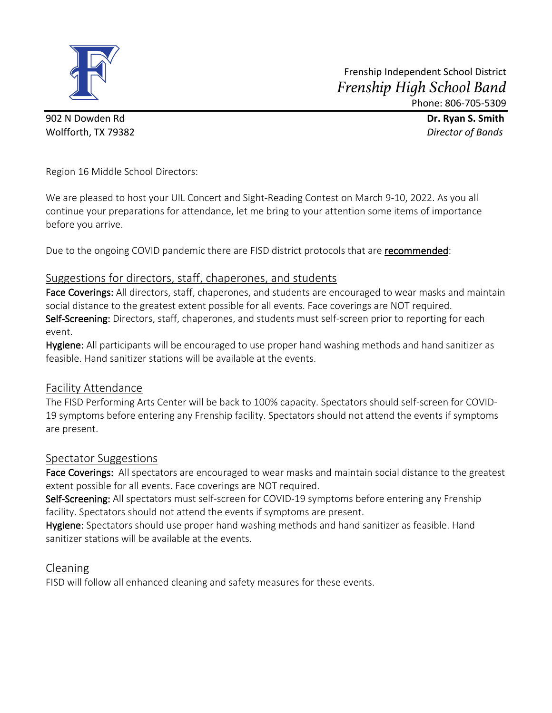

902 N Dowden Rd **Dr. Ryan S. Smith** Wolfforth, TX 79382 *Director of Bands*

Region 16 Middle School Directors:

We are pleased to host your UIL Concert and Sight-Reading Contest on March 9-10, 2022. As you all continue your preparations for attendance, let me bring to your attention some items of importance before you arrive.

Due to the ongoing COVID pandemic there are FISD district protocols that are **recommended**:

# Suggestions for directors, staff, chaperones, and students

Face Coverings: All directors, staff, chaperones, and students are encouraged to wear masks and maintain social distance to the greatest extent possible for all events. Face coverings are NOT required. Self-Screening: Directors, staff, chaperones, and students must self-screen prior to reporting for each event.

Hygiene: All participants will be encouraged to use proper hand washing methods and hand sanitizer as feasible. Hand sanitizer stations will be available at the events.

# Facility Attendance

The FISD Performing Arts Center will be back to 100% capacity. Spectators should self-screen for COVID-19 symptoms before entering any Frenship facility. Spectators should not attend the events if symptoms are present.

# Spectator Suggestions

Face Coverings: All spectators are encouraged to wear masks and maintain social distance to the greatest extent possible for all events. Face coverings are NOT required.

Self-Screening: All spectators must self-screen for COVID-19 symptoms before entering any Frenship facility. Spectators should not attend the events if symptoms are present.

Hygiene: Spectators should use proper hand washing methods and hand sanitizer as feasible. Hand sanitizer stations will be available at the events.

# Cleaning

FISD will follow all enhanced cleaning and safety measures for these events.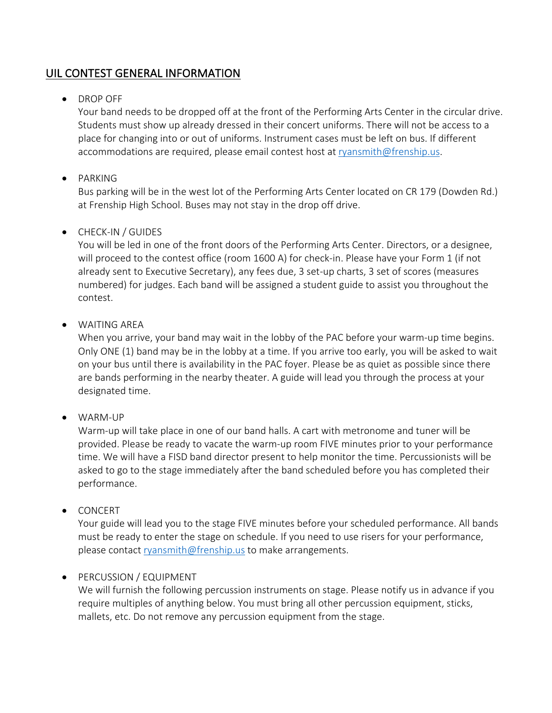# UIL CONTEST GENERAL INFORMATION

# • DROP OFF

Your band needs to be dropped off at the front of the Performing Arts Center in the circular drive. Students must show up already dressed in their concert uniforms. There will not be access to a place for changing into or out of uniforms. Instrument cases must be left on bus. If different accommodations are required, please email contest host at ryansmith@frenship.us.

## • PARKING

Bus parking will be in the west lot of the Performing Arts Center located on CR 179 (Dowden Rd.) at Frenship High School. Buses may not stay in the drop off drive.

### • CHECK-IN / GUIDES

You will be led in one of the front doors of the Performing Arts Center. Directors, or a designee, will proceed to the contest office (room 1600 A) for check-in. Please have your Form 1 (if not already sent to Executive Secretary), any fees due, 3 set-up charts, 3 set of scores (measures numbered) for judges. Each band will be assigned a student guide to assist you throughout the contest.

### • WAITING AREA

When you arrive, your band may wait in the lobby of the PAC before your warm-up time begins. Only ONE (1) band may be in the lobby at a time. If you arrive too early, you will be asked to wait on your bus until there is availability in the PAC foyer. Please be as quiet as possible since there are bands performing in the nearby theater. A guide will lead you through the process at your designated time.

#### • WARM-UP

Warm-up will take place in one of our band halls. A cart with metronome and tuner will be provided. Please be ready to vacate the warm-up room FIVE minutes prior to your performance time. We will have a FISD band director present to help monitor the time. Percussionists will be asked to go to the stage immediately after the band scheduled before you has completed their performance.

#### • CONCERT

Your guide will lead you to the stage FIVE minutes before your scheduled performance. All bands must be ready to enter the stage on schedule. If you need to use risers for your performance, please contact ryansmith@frenship.us to make arrangements.

#### • PERCUSSION / EQUIPMENT

We will furnish the following percussion instruments on stage. Please notify us in advance if you require multiples of anything below. You must bring all other percussion equipment, sticks, mallets, etc. Do not remove any percussion equipment from the stage.